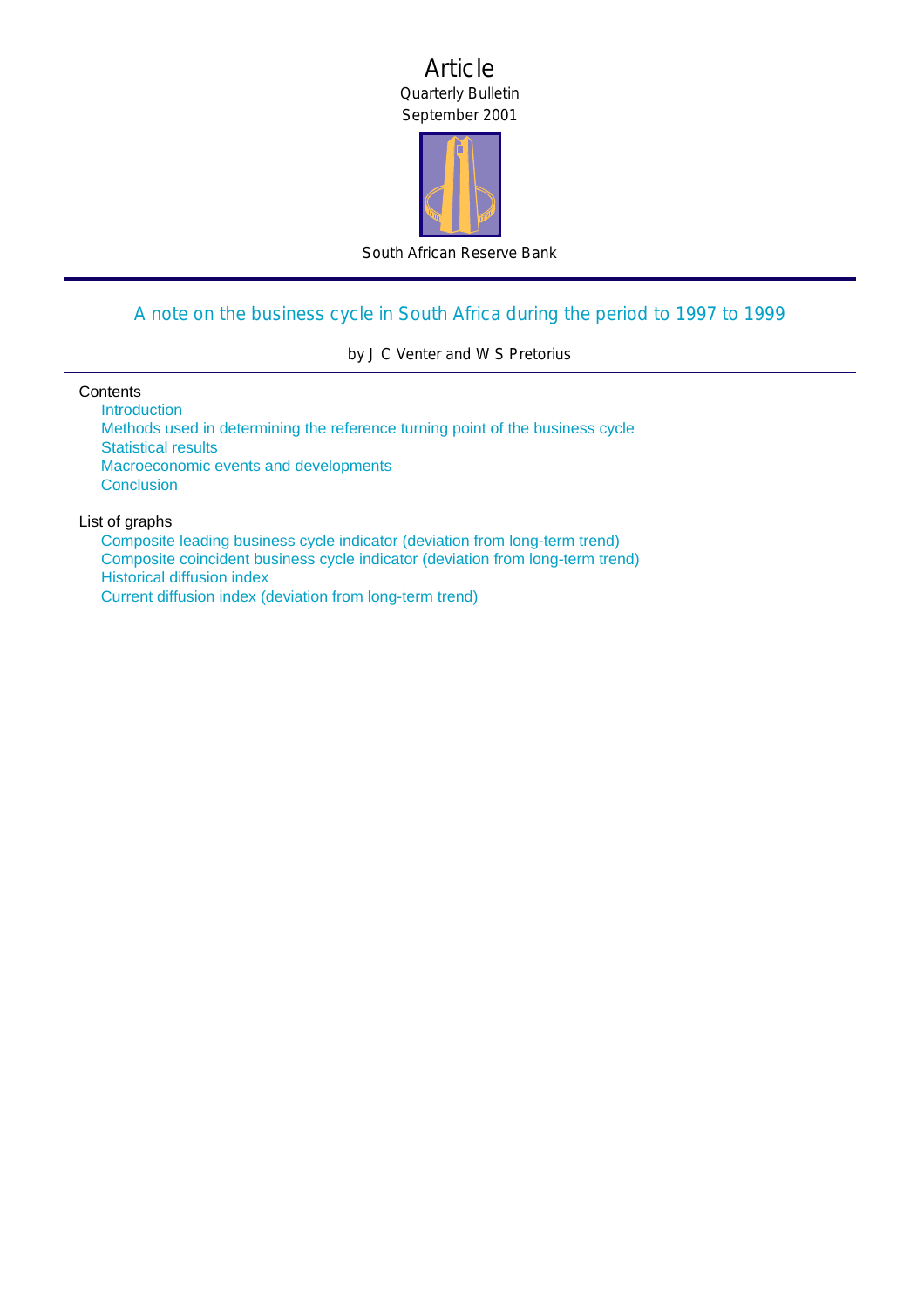## Article Quarterly Bulletin September 2001



South African Reserve Bank

# [A note on the business cycle in South Africa during the period to 1997 to 1999](#page-1-0)

by J C Venter and W S Pretorius

#### **Contents**

**Introduction** [Methods used in determining the reference turning point of the business cycle](#page-1-0) [Statistical results](#page-2-0) [Macroeconomic events and developments](#page-5-0) **[Conclusion](#page-7-0)** 

## List of graphs

Composite leading business cycle indicator (deviation from long-term trend) [Composite coincident business cycle indicator \(deviation from long-term trend\)](#page-3-0) Historical diffusion index [Current diffusion index \(deviation from long-term trend\)](#page-4-0)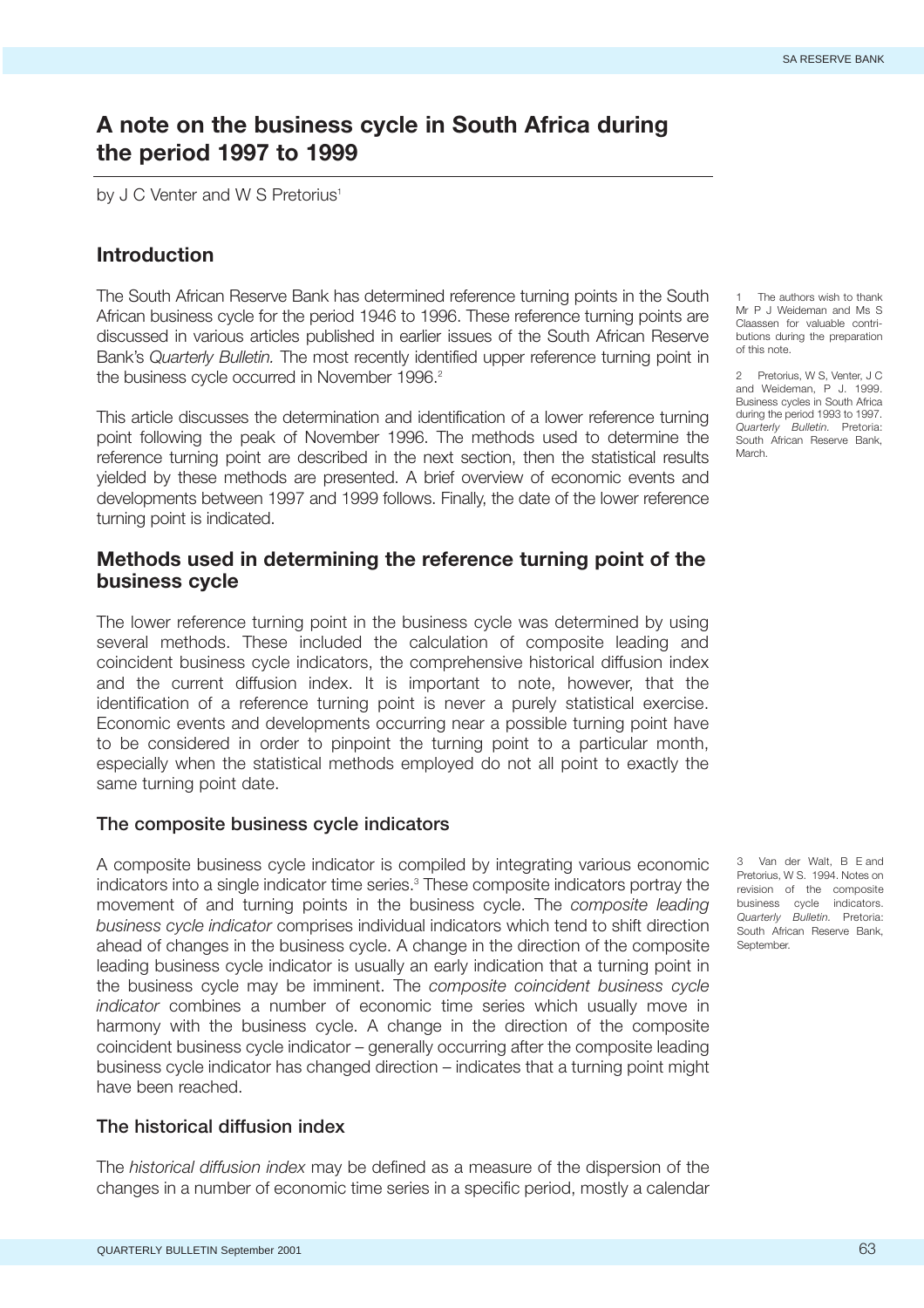## <span id="page-1-0"></span>**A note on the business cycle in South Africa during the period 1997 to 1999**

by J C Venter and W S Pretorius<sup>1</sup>

## **Introduction**

The South African Reserve Bank has determined reference turning points in the South African business cycle for the period 1946 to 1996. These reference turning points are discussed in various articles published in earlier issues of the South African Reserve Bank's *Quarterly Bulletin.* The most recently identified upper reference turning point in the business cycle occurred in November 1996.<sup>2</sup>

This article discusses the determination and identification of a lower reference turning point following the peak of November 1996. The methods used to determine the reference turning point are described in the next section, then the statistical results yielded by these methods are presented. A brief overview of economic events and developments between 1997 and 1999 follows. Finally, the date of the lower reference turning point is indicated.

## **Methods used in determining the reference turning point of the business cycle**

The lower reference turning point in the business cycle was determined by using several methods. These included the calculation of composite leading and coincident business cycle indicators, the comprehensive historical diffusion index and the current diffusion index. It is important to note, however, that the identification of a reference turning point is never a purely statistical exercise. Economic events and developments occurring near a possible turning point have to be considered in order to pinpoint the turning point to a particular month, especially when the statistical methods employed do not all point to exactly the same turning point date.

#### **The composite business cycle indicators**

A composite business cycle indicator is compiled by integrating various economic indicators into a single indicator time series.<sup>3</sup> These composite indicators portray the movement of and turning points in the business cycle. The *composite leading business cycle indicator* comprises individual indicators which tend to shift direction ahead of changes in the business cycle. A change in the direction of the composite leading business cycle indicator is usually an early indication that a turning point in the business cycle may be imminent. The *composite coincident business cycle indicator* combines a number of economic time series which usually move in harmony with the business cycle. A change in the direction of the composite coincident business cycle indicator – generally occurring after the composite leading business cycle indicator has changed direction – indicates that a turning point might have been reached.

#### **The historical diffusion index**

The *historical diffusion index* may be defined as a measure of the dispersion of the changes in a number of economic time series in a specific period, mostly a calendar

The authors wish to thank Mr P J Weideman and Ms S Claassen for valuable contributions during the preparation of this note.

2 Pretorius, W S, Venter, J C and Weideman, P J. 1999. Business cycles in South Africa during the period 1993 to 1997. *Quarterly Bulletin.* Pretoria: South African Reserve Bank, March.

3 Van der Walt, B E and Pretorius, W S. 1994. Notes on revision of the composite business cycle indicators. *Quarterly Bulletin.* Pretoria: South African Reserve Bank, September.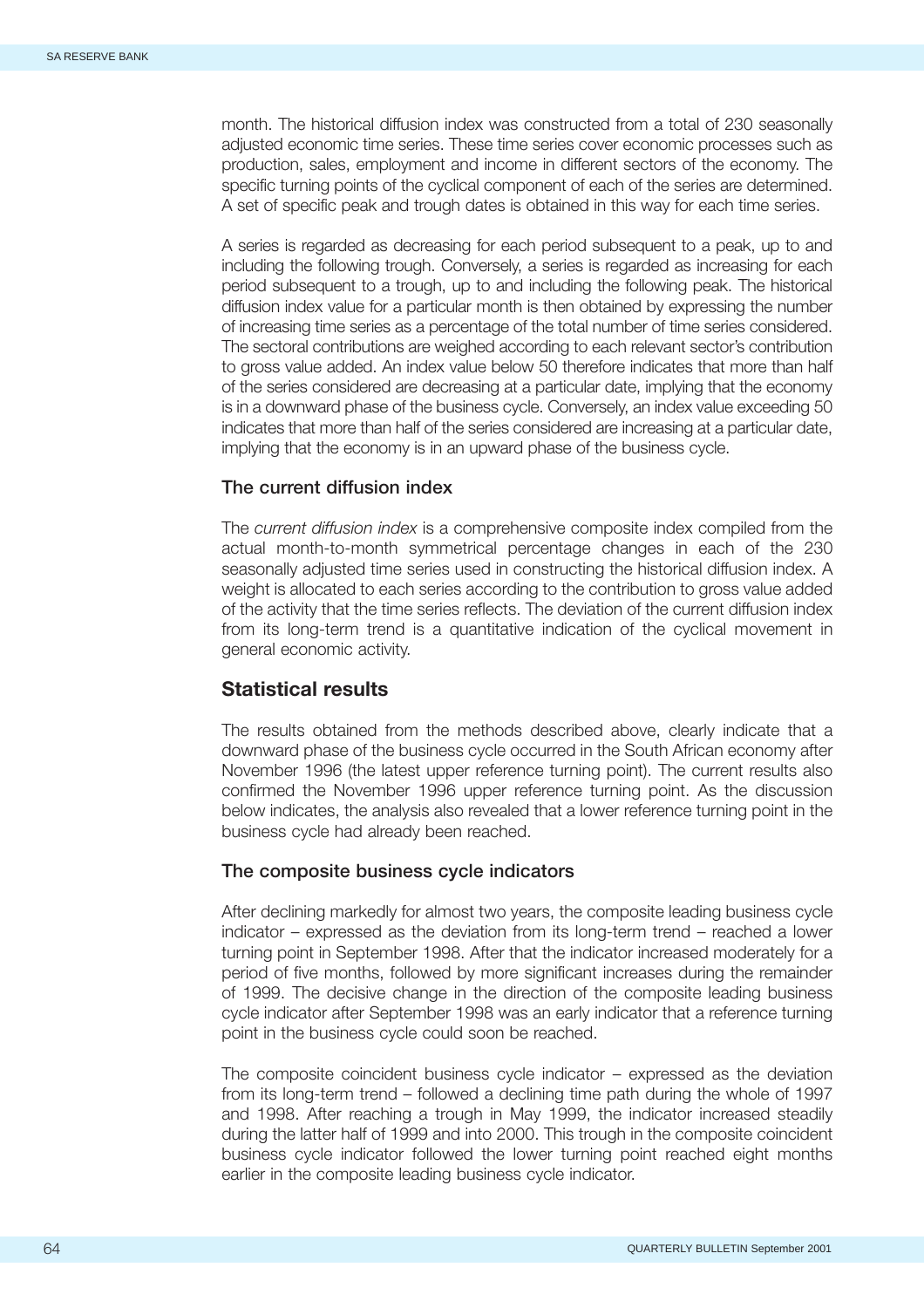<span id="page-2-0"></span>month. The historical diffusion index was constructed from a total of 230 seasonally adjusted economic time series. These time series cover economic processes such as production, sales, employment and income in different sectors of the economy. The specific turning points of the cyclical component of each of the series are determined. A set of specific peak and trough dates is obtained in this way for each time series.

A series is regarded as decreasing for each period subsequent to a peak, up to and including the following trough. Conversely, a series is regarded as increasing for each period subsequent to a trough, up to and including the following peak. The historical diffusion index value for a particular month is then obtained by expressing the number of increasing time series as a percentage of the total number of time series considered. The sectoral contributions are weighed according to each relevant sector's contribution to gross value added. An index value below 50 therefore indicates that more than half of the series considered are decreasing at a particular date, implying that the economy is in a downward phase of the business cycle. Conversely, an index value exceeding 50 indicates that more than half of the series considered are increasing at a particular date, implying that the economy is in an upward phase of the business cycle.

### **The current diffusion index**

The *current diffusion index* is a comprehensive composite index compiled from the actual month-to-month symmetrical percentage changes in each of the 230 seasonally adjusted time series used in constructing the historical diffusion index. A weight is allocated to each series according to the contribution to gross value added of the activity that the time series reflects. The deviation of the current diffusion index from its long-term trend is a quantitative indication of the cyclical movement in general economic activity.

## **Statistical results**

The results obtained from the methods described above, clearly indicate that a downward phase of the business cycle occurred in the South African economy after November 1996 (the latest upper reference turning point). The current results also confirmed the November 1996 upper reference turning point. As the discussion below indicates, the analysis also revealed that a lower reference turning point in the business cycle had already been reached.

#### **The composite business cycle indicators**

After declining markedly for almost two years, the composite leading business cycle indicator – expressed as the deviation from its long-term trend – reached a lower turning point in September 1998. After that the indicator increased moderately for a period of five months, followed by more significant increases during the remainder of 1999. The decisive change in the direction of the composite leading business cycle indicator after September 1998 was an early indicator that a reference turning point in the business cycle could soon be reached.

The composite coincident business cycle indicator – expressed as the deviation from its long-term trend – followed a declining time path during the whole of 1997 and 1998. After reaching a trough in May 1999, the indicator increased steadily during the latter half of 1999 and into 2000. This trough in the composite coincident business cycle indicator followed the lower turning point reached eight months earlier in the composite leading business cycle indicator.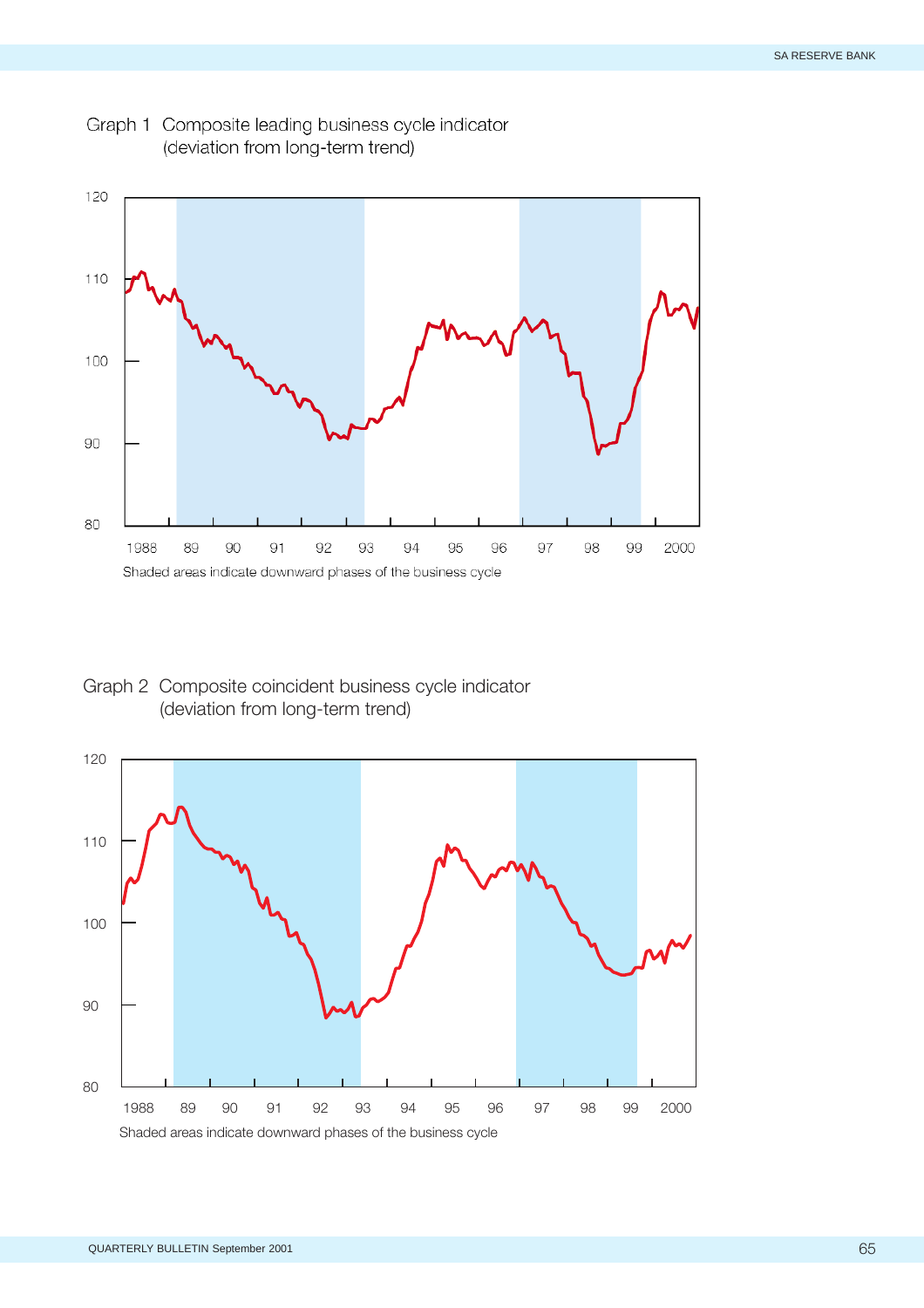

<span id="page-3-0"></span>Graph 1 Composite leading business cycle indicator (deviation from long-term trend)

Graph 2 Composite coincident business cycle indicator (deviation from long-term trend)

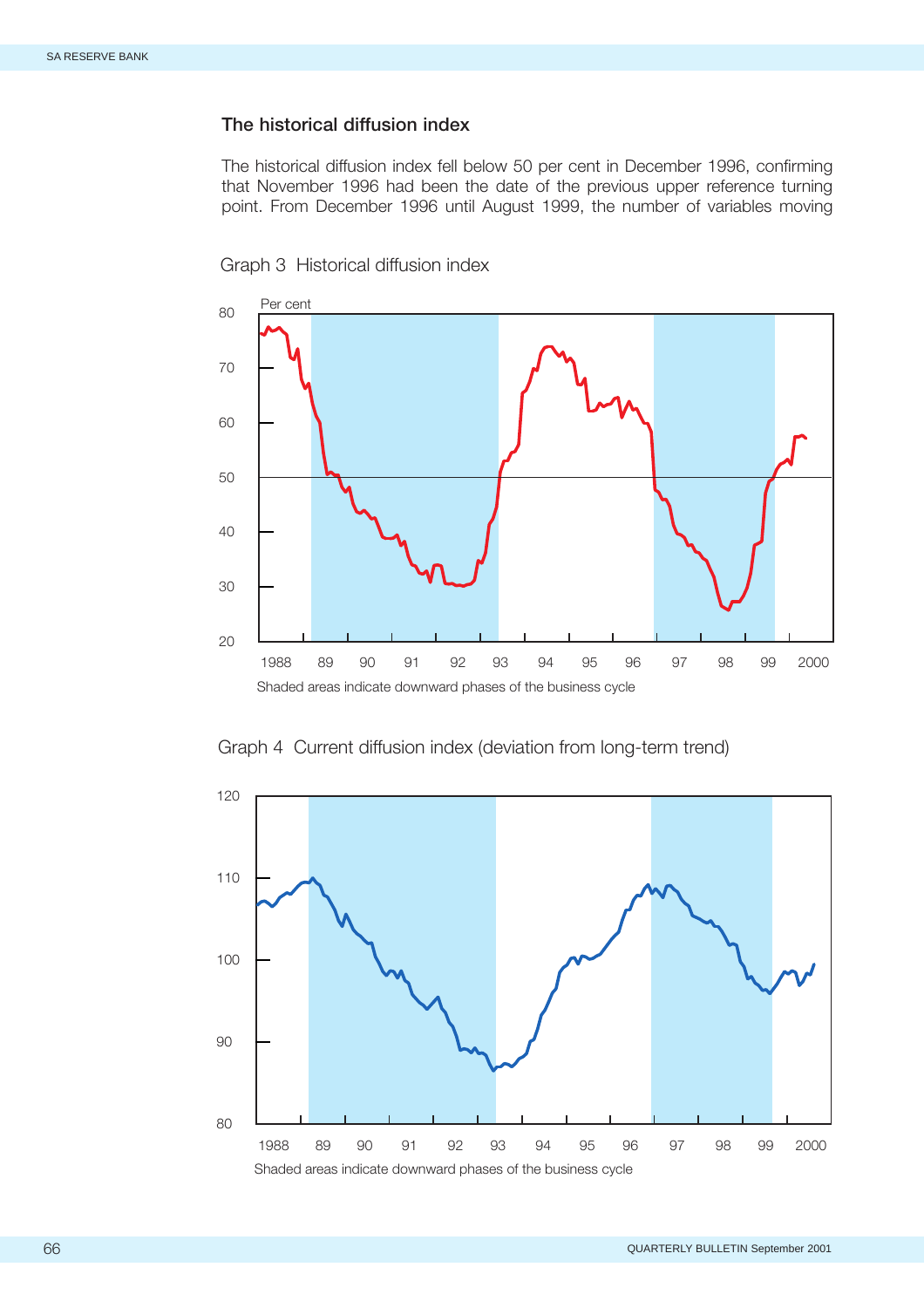### <span id="page-4-0"></span>**The historical diffusion index**

The historical diffusion index fell below 50 per cent in December 1996, confirming that November 1996 had been the date of the previous upper reference turning point. From December 1996 until August 1999, the number of variables moving



Graph 3 Historical diffusion index

Graph 4 Current diffusion index (deviation from long-term trend)

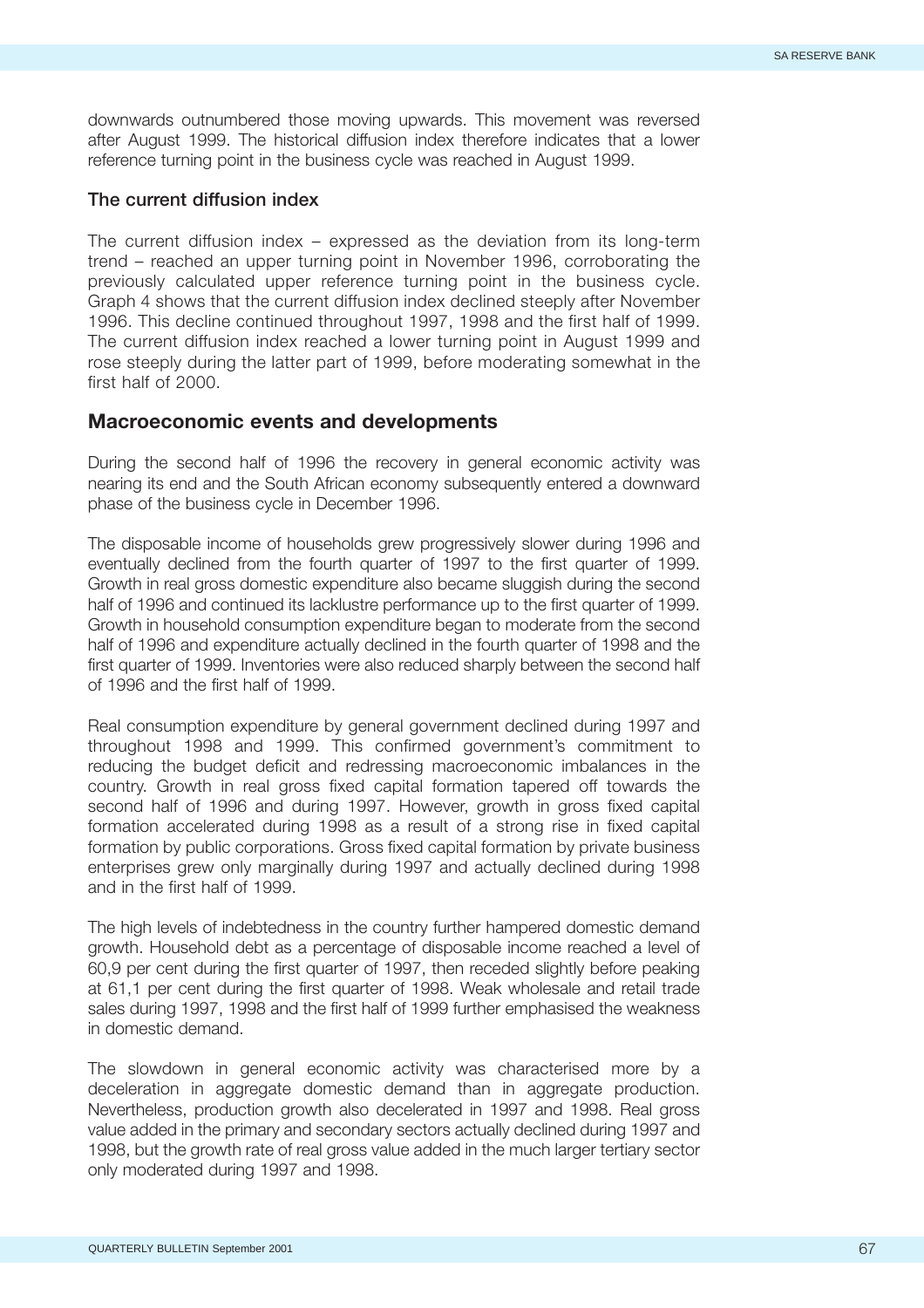<span id="page-5-0"></span>downwards outnumbered those moving upwards. This movement was reversed after August 1999. The historical diffusion index therefore indicates that a lower reference turning point in the business cycle was reached in August 1999.

#### **The current diffusion index**

The current diffusion index – expressed as the deviation from its long-term trend – reached an upper turning point in November 1996, corroborating the previously calculated upper reference turning point in the business cycle. Graph 4 shows that the current diffusion index declined steeply after November 1996. This decline continued throughout 1997, 1998 and the first half of 1999. The current diffusion index reached a lower turning point in August 1999 and rose steeply during the latter part of 1999, before moderating somewhat in the first half of 2000.

#### **Macroeconomic events and developments**

During the second half of 1996 the recovery in general economic activity was nearing its end and the South African economy subsequently entered a downward phase of the business cycle in December 1996.

The disposable income of households grew progressively slower during 1996 and eventually declined from the fourth quarter of 1997 to the first quarter of 1999. Growth in real gross domestic expenditure also became sluggish during the second half of 1996 and continued its lacklustre performance up to the first quarter of 1999. Growth in household consumption expenditure began to moderate from the second half of 1996 and expenditure actually declined in the fourth quarter of 1998 and the first quarter of 1999. Inventories were also reduced sharply between the second half of 1996 and the first half of 1999.

Real consumption expenditure by general government declined during 1997 and throughout 1998 and 1999. This confirmed government's commitment to reducing the budget deficit and redressing macroeconomic imbalances in the country. Growth in real gross fixed capital formation tapered off towards the second half of 1996 and during 1997. However, growth in gross fixed capital formation accelerated during 1998 as a result of a strong rise in fixed capital formation by public corporations. Gross fixed capital formation by private business enterprises grew only marginally during 1997 and actually declined during 1998 and in the first half of 1999.

The high levels of indebtedness in the country further hampered domestic demand growth. Household debt as a percentage of disposable income reached a level of 60,9 per cent during the first quarter of 1997, then receded slightly before peaking at 61,1 per cent during the first quarter of 1998. Weak wholesale and retail trade sales during 1997, 1998 and the first half of 1999 further emphasised the weakness in domestic demand.

The slowdown in general economic activity was characterised more by a deceleration in aggregate domestic demand than in aggregate production. Nevertheless, production growth also decelerated in 1997 and 1998. Real gross value added in the primary and secondary sectors actually declined during 1997 and 1998, but the growth rate of real gross value added in the much larger tertiary sector only moderated during 1997 and 1998.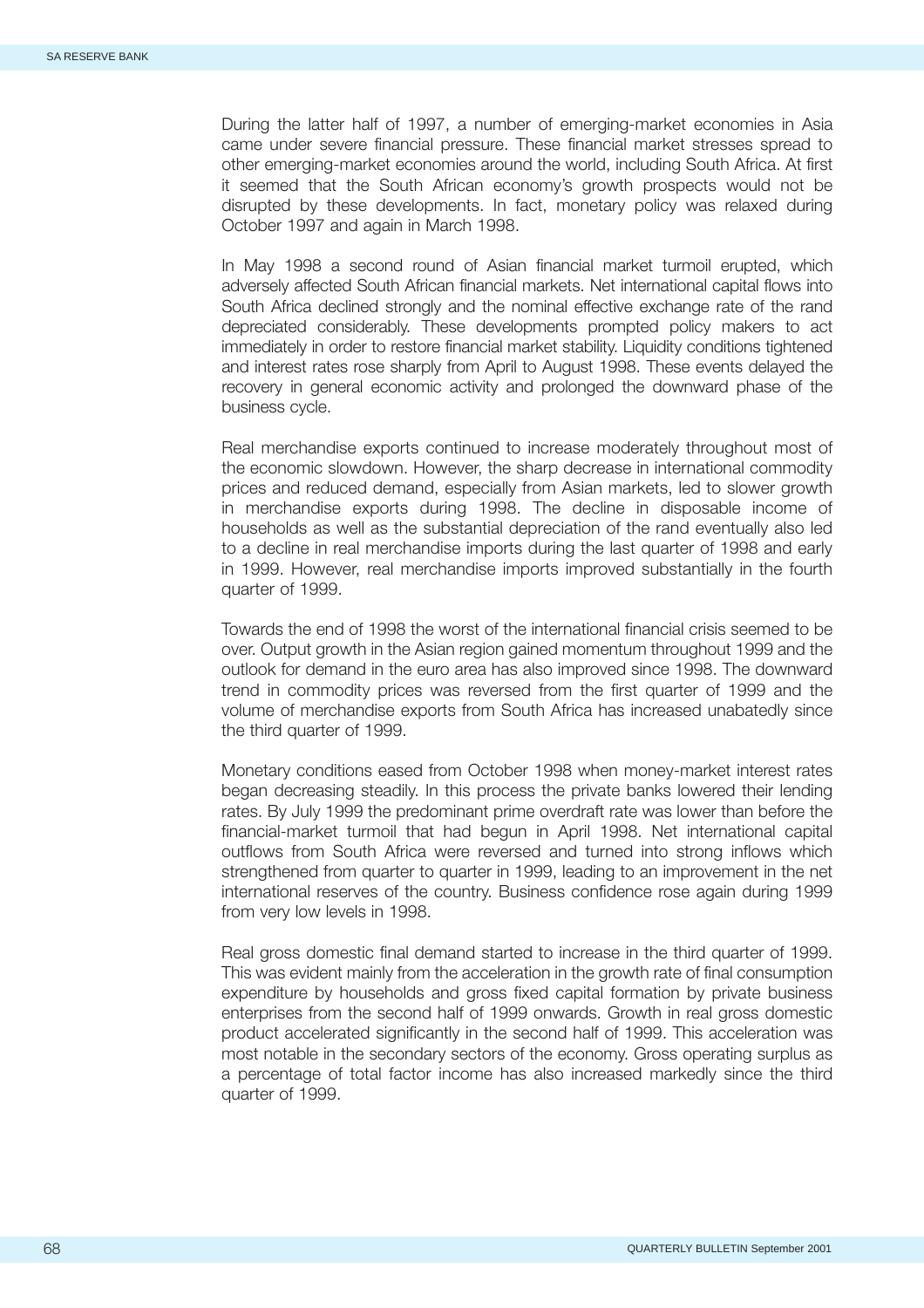During the latter half of 1997, a number of emerging-market economies in Asia came under severe financial pressure. These financial market stresses spread to other emerging-market economies around the world, including South Africa. At first it seemed that the South African economy's growth prospects would not be disrupted by these developments. In fact, monetary policy was relaxed during October 1997 and again in March 1998.

In May 1998 a second round of Asian financial market turmoil erupted, which adversely affected South African financial markets. Net international capital flows into South Africa declined strongly and the nominal effective exchange rate of the rand depreciated considerably. These developments prompted policy makers to act immediately in order to restore financial market stability. Liquidity conditions tightened and interest rates rose sharply from April to August 1998. These events delayed the recovery in general economic activity and prolonged the downward phase of the business cycle.

Real merchandise exports continued to increase moderately throughout most of the economic slowdown. However, the sharp decrease in international commodity prices and reduced demand, especially from Asian markets, led to slower growth in merchandise exports during 1998. The decline in disposable income of households as well as the substantial depreciation of the rand eventually also led to a decline in real merchandise imports during the last quarter of 1998 and early in 1999. However, real merchandise imports improved substantially in the fourth quarter of 1999.

Towards the end of 1998 the worst of the international financial crisis seemed to be over. Output growth in the Asian region gained momentum throughout 1999 and the outlook for demand in the euro area has also improved since 1998. The downward trend in commodity prices was reversed from the first quarter of 1999 and the volume of merchandise exports from South Africa has increased unabatedly since the third quarter of 1999.

Monetary conditions eased from October 1998 when money-market interest rates began decreasing steadily. In this process the private banks lowered their lending rates. By July 1999 the predominant prime overdraft rate was lower than before the financial-market turmoil that had begun in April 1998. Net international capital outflows from South Africa were reversed and turned into strong inflows which strengthened from quarter to quarter in 1999, leading to an improvement in the net international reserves of the country. Business confidence rose again during 1999 from very low levels in 1998.

Real gross domestic final demand started to increase in the third quarter of 1999. This was evident mainly from the acceleration in the growth rate of final consumption expenditure by households and gross fixed capital formation by private business enterprises from the second half of 1999 onwards. Growth in real gross domestic product accelerated significantly in the second half of 1999. This acceleration was most notable in the secondary sectors of the economy. Gross operating surplus as a percentage of total factor income has also increased markedly since the third quarter of 1999.